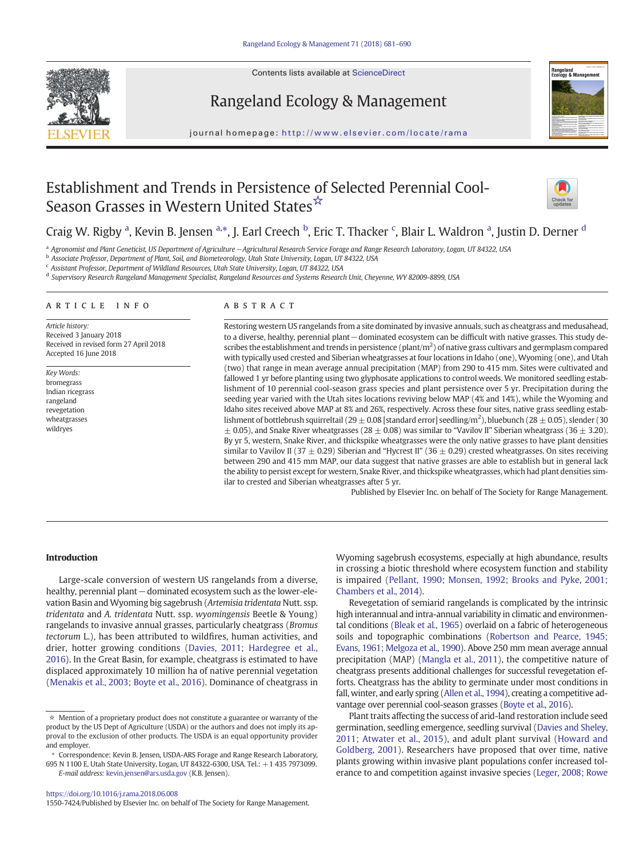

# Rangeland Ecology & Management



journal homepage: http://www.elsevier.com/locate/rama

# Establishment and Trends in Persistence of Selected Perennial Cool-Season Grasses in Western United States<sup>☆</sup>



# Craig W. Rigby <sup>a</sup>, Kevin B. Jensen <sup>a,\*</sup>, J. Earl Creech <sup>b</sup>, Eric T. Thacker <sup>c</sup>, Blair L. Waldron <sup>a</sup>, Justin D. Derner <sup>d</sup>

<sup>a</sup> Agronomist and Plant Geneticist, US Department of Agriculture−Agricultural Research Service Forage and Range Research Laboratory, Logan, UT 84322, USA

<sup>b</sup> Associate Professor, Department of Plant, Soil, and Biometeorology, Utah State University, Logan, UT 84322, USA

<sup>c</sup> Assistant Professor, Department of Wildland Resources, Utah State University, Logan, UT 84322, USA

d Supervisory Research Rangeland Management Specialist, Rangeland Resources and Systems Research Unit, Cheyenne, WY 82009-8899, USA

#### article info abstract

Article history: Received 3 January 2018 Received in revised form 27 April 2018 Accepted 16 June 2018

Key Words: bromegrass Indian ricegrass rangeland revegetation wheatgrasses wildryes

Restoring western US rangelands from a site dominated by invasive annuals, such as cheatgrass and medusahead, to a diverse, healthy, perennial plant−dominated ecosystem can be difficult with native grasses. This study describes the establishment and trends in persistence (plant/m<sup>2</sup>) of native grass cultivars and germplasm compared with typically used crested and Siberian wheatgrasses at four locations in Idaho (one), Wyoming (one), and Utah (two) that range in mean average annual precipitation (MAP) from 290 to 415 mm. Sites were cultivated and fallowed 1 yr before planting using two glyphosate applications to control weeds. We monitored seedling establishment of 10 perennial cool-season grass species and plant persistence over 5 yr. Precipitation during the seeding year varied with the Utah sites locations reviving below MAP (4% and 14%), while the Wyoming and Idaho sites received above MAP at 8% and 26%, respectively. Across these four sites, native grass seedling establishment of bottlebrush squirreltail (29  $\pm$  0.08 [standard error] seedling/m<sup>2</sup>), bluebunch (28  $\pm$  0.05), slender (30  $\pm$  0.05), and Snake River wheatgrasses (28  $\pm$  0.08) was similar to "Vavilov II" Siberian wheatgrass (36  $\pm$  3.20). By yr 5, western, Snake River, and thickspike wheatgrasses were the only native grasses to have plant densities similar to Vavilov II (37  $\pm$  0.29) Siberian and "Hycrest II" (36  $\pm$  0.29) crested wheatgrasses. On sites receiving between 290 and 415 mm MAP, our data suggest that native grasses are able to establish but in general lack the ability to persist except for western, Snake River, and thickspike wheatgrasses, which had plant densities similar to crested and Siberian wheatgrasses after 5 yr.

Published by Elsevier Inc. on behalf of The Society for Range Management.

# Introduction

Large-scale conversion of western US rangelands from a diverse, healthy, perennial plant – dominated ecosystem such as the lower-elevation Basin and Wyoming big sagebrush (Artemisia tridentata Nutt. ssp. tridentata and A. tridentata Nutt. ssp. wyomingensis Beetle & Young) rangelands to invasive annual grasses, particularly cheatgrass (Bromus tectorum L.), has been attributed to wildfires, human activities, and drier, hotter growing conditions [\(Davies, 2011; Hardegree et al.,](#page-9-0) [2016](#page-9-0)). In the Great Basin, for example, cheatgrass is estimated to have displaced approximately 10 million ha of native perennial vegetation [\(Menakis et al., 2003; Boyte et al., 2016\)](#page-9-0). Dominance of cheatgrass in

E-mail address: <kevin.jensen@ars.usda.gov> (K.B. Jensen).

Wyoming sagebrush ecosystems, especially at high abundance, results in crossing a biotic threshold where ecosystem function and stability is impaired [\(Pellant, 1990; Monsen, 1992; Brooks and Pyke, 2001;](#page-9-0) [Chambers et al., 2014\)](#page-9-0).

Revegetation of semiarid rangelands is complicated by the intrinsic high interannual and intra-annual variability in climatic and environmental conditions [\(Bleak et al., 1965](#page-8-0)) overlaid on a fabric of heterogeneous soils and topographic combinations ([Robertson and Pearce, 1945;](#page-9-0) [Evans, 1961; Melgoza et al., 1990](#page-9-0)). Above 250 mm mean average annual precipitation (MAP) ([Mangla et al., 2011\)](#page-9-0), the competitive nature of cheatgrass presents additional challenges for successful revegetation efforts. Cheatgrass has the ability to germinate under most conditions in fall, winter, and early spring [\(Allen et al., 1994\)](#page-8-0), creating a competitive advantage over perennial cool-season grasses [\(Boyte et al., 2016](#page-8-0)).

Plant traits affecting the success of arid-land restoration include seed germination, seedling emergence, seedling survival [\(Davies and Sheley,](#page-9-0) [2011; Atwater et al., 2015\)](#page-9-0), and adult plant survival [\(Howard and](#page-9-0) [Goldberg, 2001](#page-9-0)). Researchers have proposed that over time, native plants growing within invasive plant populations confer increased tolerance to and competition against invasive species ([Leger, 2008; Rowe](#page-9-0)

<sup>☆</sup> Mention of a proprietary product does not constitute a guarantee or warranty of the product by the US Dept of Agriculture (USDA) or the authors and does not imply its approval to the exclusion of other products. The USDA is an equal opportunity provider and employer.

<sup>⁎</sup> Correspondence: Kevin B. Jensen, USDA-ARS Forage and Range Research Laboratory, 695 N 1100 E, Utah State University, Logan, UT 84322-6300, USA. Tel.: +1 435 7973099.

<https://doi.org/10.1016/j.rama.2018.06.008>

<sup>1550-7424/</sup>Published by Elsevier Inc. on behalf of The Society for Range Management.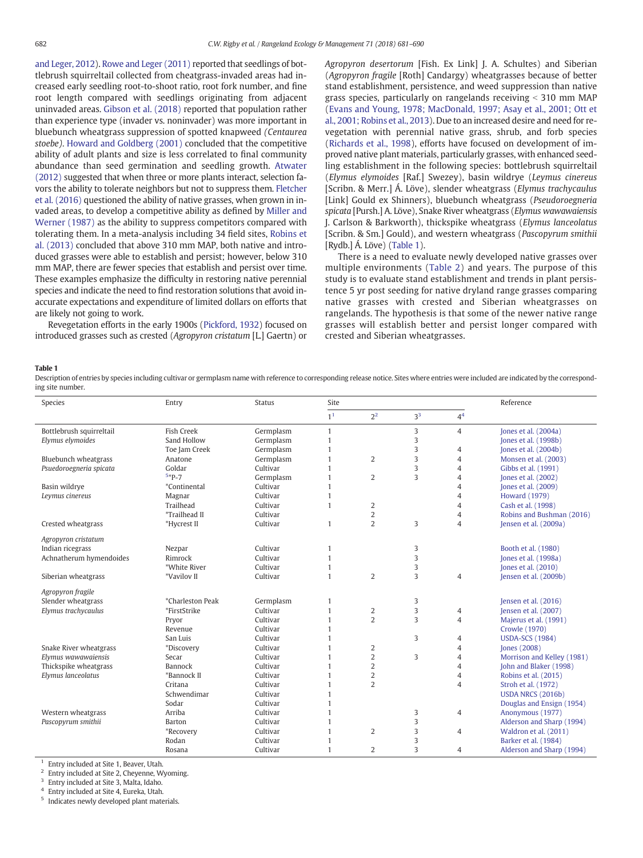<span id="page-1-0"></span>[and Leger, 2012\)](#page-9-0). [Rowe and Leger \(2011\)](#page-9-0) reported that seedlings of bottlebrush squirreltail collected from cheatgrass-invaded areas had increased early seedling root-to-shoot ratio, root fork number, and fine root length compared with seedlings originating from adjacent uninvaded areas. [Gibson et al. \(2018\)](#page-9-0) reported that population rather than experience type (invader vs. noninvader) was more important in bluebunch wheatgrass suppression of spotted knapweed (Centaurea stoebe). [Howard and Goldberg \(2001\)](#page-9-0) concluded that the competitive ability of adult plants and size is less correlated to final community abundance than seed germination and seedling growth. [Atwater](#page-8-0) [\(2012\)](#page-8-0) suggested that when three or more plants interact, selection favors the ability to tolerate neighbors but not to suppress them. [Fletcher](#page-9-0) [et al. \(2016\)](#page-9-0) questioned the ability of native grasses, when grown in invaded areas, to develop a competitive ability as defined by [Miller and](#page-9-0) [Werner \(1987\)](#page-9-0) as the ability to suppress competitors compared with tolerating them. In a meta-analysis including 34 field sites, [Robins et](#page-9-0) [al. \(2013\)](#page-9-0) concluded that above 310 mm MAP, both native and introduced grasses were able to establish and persist; however, below 310 mm MAP, there are fewer species that establish and persist over time. These examples emphasize the difficulty in restoring native perennial species and indicate the need to find restoration solutions that avoid inaccurate expectations and expenditure of limited dollars on efforts that are likely not going to work.

Revegetation efforts in the early 1900s [\(Pickford, 1932](#page-9-0)) focused on introduced grasses such as crested (Agropyron cristatum [L.] Gaertn) or Agropyron desertorum [Fish. Ex Link] J. A. Schultes) and Siberian (Agropyron fragile [Roth] Candargy) wheatgrasses because of better stand establishment, persistence, and weed suppression than native grass species, particularly on rangelands receiving  $\lt$  310 mm MAP ([Evans and Young, 1978; MacDonald, 1997; Asay et al., 2001; Ott et](#page-9-0) [al., 2001; Robins et al., 2013](#page-9-0)). Due to an increased desire and need for revegetation with perennial native grass, shrub, and forb species ([Richards et al., 1998\)](#page-9-0), efforts have focused on development of improved native plant materials, particularly grasses, with enhanced seedling establishment in the following species: bottlebrush squirreltail (Elymus elymoides [Raf.] Swezey), basin wildrye (Leymus cinereus [Scribn. & Merr.] Á. Löve), slender wheatgrass (Elymus trachycaulus [Link] Gould ex Shinners), bluebunch wheatgrass (Pseudoroegneria spicata [Pursh.] A. Löve), Snake River wheatgrass (Elymus wawawaiensis J. Carlson & Barkworth), thickspike wheatgrass (Elymus lanceolatus [Scribn. & Sm.] Gould), and western wheatgrass (Pascopyrum smithii [Rydb.] Á. Löve) (Table 1).

There is a need to evaluate newly developed native grasses over multiple environments ([Table 2](#page-2-0)) and years. The purpose of this study is to evaluate stand establishment and trends in plant persistence 5 yr post seeding for native dryland range grasses comparing native grasses with crested and Siberian wheatgrasses on rangelands. The hypothesis is that some of the newer native range grasses will establish better and persist longer compared with crested and Siberian wheatgrasses.

# Table 1

Description of entries by species including cultivar or germplasm name with reference to corresponding release notice. Sites where entries were included are indicated by the corresponding site number.

| Species                  | Entry            | <b>Status</b> | Site           |                |                |                | Reference                  |
|--------------------------|------------------|---------------|----------------|----------------|----------------|----------------|----------------------------|
|                          |                  |               | 1 <sup>1</sup> | 2 <sup>2</sup> | 3 <sup>3</sup> | 4 <sup>4</sup> |                            |
| Bottlebrush squirreltail | Fish Creek       | Germplasm     | $\mathbf{1}$   |                | 3              | $\overline{4}$ | Jones et al. (2004a)       |
| Elymus elymoides         | Sand Hollow      | Germplasm     | $\mathbf{1}$   |                | 3              |                | Jones et al. (1998b)       |
|                          | Toe Jam Creek    | Germplasm     | 1              |                | 3              | 4              | Jones et al. (2004b)       |
| Bluebunch wheatgrass     | Anatone          | Germplasm     | $\mathbf{1}$   | 2              | 3              | 4              | Monsen et al. (2003)       |
| Psuedoroegneria spicata  | Goldar           | Cultivar      | 1              |                | 3              | $\overline{4}$ | Gibbs et al. (1991)        |
|                          | $5*p-7$          | Germplasm     | $\mathbf{1}$   | $\overline{2}$ | 3              | 4              | Jones et al. (2002)        |
| Basin wildrye            | *Continental     | Cultivar      | $\mathbf{1}$   |                |                | 4              | Jones et al. (2009)        |
| Leymus cinereus          | Magnar           | Cultivar      | 1              |                |                | 4              | <b>Howard</b> (1979)       |
|                          | Trailhead        | Cultivar      | $\mathbf{1}$   | 2              |                | 4              | Cash et al. (1998)         |
|                          | *Trailhead II    | Cultivar      |                | 2              |                | 4              | Robins and Bushman (2016)  |
| Crested wheatgrass       | *Hycrest II      | Cultivar      | $\mathbf{1}$   | $\overline{2}$ | 3              | $\overline{4}$ | Jensen et al. (2009a)      |
| Agropyron cristatum      |                  |               |                |                |                |                |                            |
| Indian ricegrass         | Nezpar           | Cultivar      | 1              |                | 3              |                | Booth et al. (1980)        |
| Achnatherum hymendoides  | Rimrock          | Cultivar      | $\mathbf{1}$   |                | 3              |                | Jones et al. (1998a)       |
|                          | *White River     | Cultivar      | $\mathbf{1}$   |                | 3              |                | Jones et al. $(2010)$      |
| Siberian wheatgrass      | *Vavilov II      | Cultivar      | $\mathbf{1}$   | $\overline{2}$ | 3              | $\overline{4}$ | Jensen et al. (2009b)      |
| Agropyron fragile        |                  |               |                |                |                |                |                            |
| Slender wheatgrass       | *Charleston Peak | Germplasm     | 1              |                | 3              |                | Jensen et al. $(2016)$     |
| Elymus trachycaulus      | *FirstStrike     | Cultivar      | 1              | 2              | 3              | 4              | Jensen et al. (2007)       |
|                          | Pryor            | Cultivar      | $\mathbf{1}$   | $\overline{2}$ | 3              | $\overline{4}$ | Majerus et al. (1991)      |
|                          | Revenue          | Cultivar      | $\mathbf{1}$   |                |                |                | <b>Crowle (1970)</b>       |
|                          | San Luis         | Cultivar      | $\mathbf{1}$   |                | 3              | 4              | <b>USDA-SCS (1984)</b>     |
| Snake River wheatgrass   | *Discovery       | Cultivar      | $\mathbf{1}$   | 2              |                | 4              | <b>Jones</b> (2008)        |
| Elymus wawawaiensis      | Secar            | Cultivar      | $\mathbf{1}$   | $\overline{2}$ | 3              | $\overline{4}$ | Morrison and Kelley (1981) |
| Thickspike wheatgrass    | Bannock          | Cultivar      | $\overline{1}$ | 2              |                | 4              | John and Blaker (1998)     |
| Elymus lanceolatus       | *Bannock II      | Cultivar      | 1              | $\overline{2}$ |                | 4              | Robins et al. (2015)       |
|                          | Critana          | Cultivar      | 1              | $\overline{2}$ |                | $\overline{4}$ | Stroh et al. (1972)        |
|                          | Schwendimar      | Cultivar      | 1              |                |                |                | USDA NRCS (2016b)          |
|                          | Sodar            | Cultivar      | 1              |                |                |                | Douglas and Ensign (1954)  |
| Western wheatgrass       | Arriba           | Cultivar      | $\mathbf{1}$   |                | 3              | $\overline{4}$ | Anonymous (1977)           |
| Pascopyrum smithii       | <b>Barton</b>    | Cultivar      | $\mathbf{1}$   |                | 3              |                | Alderson and Sharp (1994)  |
|                          | *Recovery        | Cultivar      | $\mathbf{1}$   | $\overline{2}$ | 3              | $\overline{4}$ | Waldron et al. (2011)      |
|                          | Rodan            | Cultivar      | $\mathbf{1}$   |                | 3              |                | Barker et al. (1984)       |
|                          | Rosana           | Cultivar      | $\mathbf{1}$   | 2              | 3              | 4              | Alderson and Sharp (1994)  |

<sup>1</sup> Entry included at Site 1, Beaver, Utah.<br><sup>2</sup> Entry included at Site 2, Chausene, W

<sup>2</sup> Entry included at Site 2, Cheyenne, Wyoming.

Entry included at Site 3, Malta, Idaho.

Entry included at Site 4, Eureka, Utah.

<sup>5</sup> Indicates newly developed plant materials.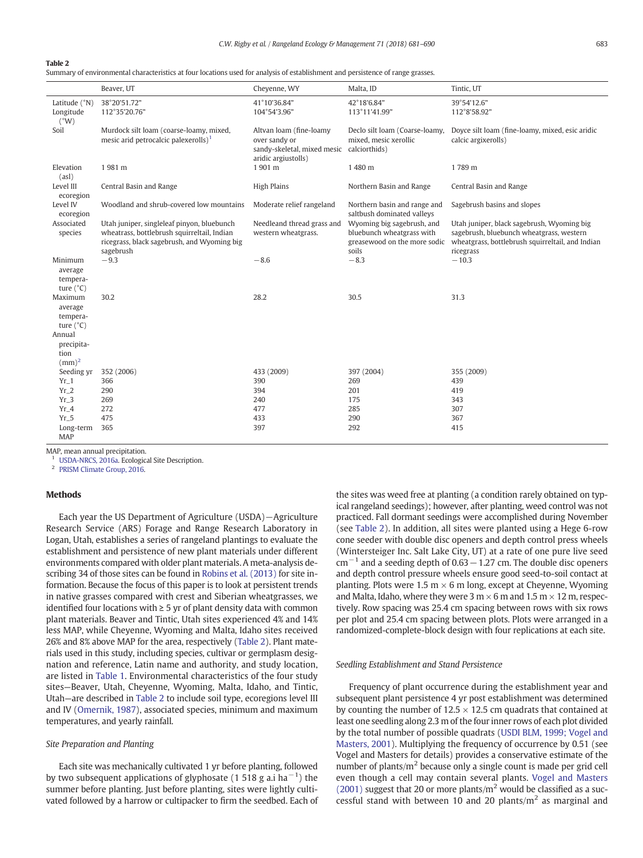<span id="page-2-0"></span>Summary of environmental characteristics at four locations used for analysis of establishment and persistence of range grasses.

|                               | Beaver, UT                                       | Cheyenne, WY                              | Malta, ID                      | Tintic, UT                                       |
|-------------------------------|--------------------------------------------------|-------------------------------------------|--------------------------------|--------------------------------------------------|
| Latitude (°N)                 | 38°20'51.72"                                     | 41°10'36.84"                              | 42°18'6.84"                    | 39°54'12.6"                                      |
| Longitude                     | 112°35'20.76"                                    | 104°54'3.96"                              | 113°11'41.99"                  | 112°8'58.92"                                     |
| (°W)                          |                                                  |                                           |                                |                                                  |
| Soil                          | Murdock silt loam (coarse-loamy, mixed,          | Altvan loam (fine-loamy                   | Declo silt loam (Coarse-loamy, | Doyce silt loam (fine-loamy, mixed, esic aridic  |
|                               | mesic arid petrocalcic palexerolls) <sup>1</sup> | over sandy or                             | mixed, mesic xerollic          | calcic argixerolls)                              |
|                               |                                                  | sandy-skeletal, mixed mesic calciorthids) |                                |                                                  |
|                               |                                                  | aridic argiustolls)                       |                                |                                                  |
| Elevation                     | 1981 m                                           | 1901 m                                    | 1 480 m                        | 1789 m                                           |
| (asl)<br>Level III            |                                                  | <b>High Plains</b>                        | Northern Basin and Range       | Central Basin and Range                          |
| ecoregion                     | Central Basin and Range                          |                                           |                                |                                                  |
| Level IV                      | Woodland and shrub-covered low mountains         | Moderate relief rangeland                 | Northern basin and range and   | Sagebrush basins and slopes                      |
| ecoregion                     |                                                  |                                           | saltbush dominated valleys     |                                                  |
| Associated                    | Utah juniper, singleleaf pinyon, bluebunch       | Needleand thread grass and                | Wyoming big sagebrush, and     | Utah juniper, black sagebrush, Wyoming big       |
| species                       | wheatrass, bottlebrush squirreltail, Indian      | western wheatgrass.                       | bluebunch wheatgrass with      | sagebrush, bluebunch wheatgrass, western         |
|                               | ricegrass, black sagebrush, and Wyoming big      |                                           | greasewood on the more sodic   | wheatgrass, bottlebrush squirreltail, and Indian |
|                               | sagebrush                                        |                                           | soils                          | ricegrass                                        |
| Minimum                       | $-9.3$                                           | $-8.6$                                    | $-8.3$                         | $-10.3$                                          |
| average                       |                                                  |                                           |                                |                                                  |
| tempera-                      |                                                  |                                           |                                |                                                  |
| ture $(^{\circ}C)$<br>Maximum | 30.2                                             | 28.2                                      | 30.5                           | 31.3                                             |
| average                       |                                                  |                                           |                                |                                                  |
| tempera-                      |                                                  |                                           |                                |                                                  |
| ture $(^{\circ}C)$            |                                                  |                                           |                                |                                                  |
| Annual                        |                                                  |                                           |                                |                                                  |
| precipita-                    |                                                  |                                           |                                |                                                  |
| tion                          |                                                  |                                           |                                |                                                  |
| $(mm)^2$                      |                                                  |                                           |                                |                                                  |
| Seeding yr                    | 352 (2006)                                       | 433 (2009)                                | 397 (2004)                     | 355 (2009)                                       |
| $Yr_1$                        | 366                                              | 390                                       | 269                            | 439                                              |
| $Yr_2$                        | 290                                              | 394                                       | 201                            | 419                                              |
| $Yr_3$                        | 269<br>272                                       | 240<br>477                                | 175<br>285                     | 343<br>307                                       |
| $Yr_4$<br>$Yr_5$              | 475                                              | 433                                       | 290                            | 367                                              |
| Long-term                     | 365                                              | 397                                       | 292                            | 415                                              |
| <b>MAP</b>                    |                                                  |                                           |                                |                                                  |

MAP, mean annual precipitation.

<sup>1</sup> [USDA-NRCS, 2016a](#page-9-0). Ecological Site Description.<br><sup>2</sup> BRISM Climate Croup 2016

[PRISM Climate Group, 2016.](#page-9-0)

### Methods

Each year the US Department of Agriculture (USDA)−Agriculture Research Service (ARS) Forage and Range Research Laboratory in Logan, Utah, establishes a series of rangeland plantings to evaluate the establishment and persistence of new plant materials under different environments compared with older plant materials. A meta-analysis describing 34 of those sites can be found in [Robins et al. \(2013\)](#page-9-0) for site information. Because the focus of this paper is to look at persistent trends in native grasses compared with crest and Siberian wheatgrasses, we identified four locations with  $\geq 5$  yr of plant density data with common plant materials. Beaver and Tintic, Utah sites experienced 4% and 14% less MAP, while Cheyenne, Wyoming and Malta, Idaho sites received 26% and 8% above MAP for the area, respectively (Table 2). Plant materials used in this study, including species, cultivar or germplasm designation and reference, Latin name and authority, and study location, are listed in [Table 1](#page-1-0). Environmental characteristics of the four study sites—Beaver, Utah, Cheyenne, Wyoming, Malta, Idaho, and Tintic, Utah—are described in Table 2 to include soil type, ecoregions level III and IV ([Omernik, 1987\)](#page-9-0), associated species, minimum and maximum temperatures, and yearly rainfall.

# Site Preparation and Planting

Each site was mechanically cultivated 1 yr before planting, followed by two subsequent applications of glyphosate (1 518 g a.i ha $^{-1}$ ) the summer before planting. Just before planting, sites were lightly cultivated followed by a harrow or cultipacker to firm the seedbed. Each of the sites was weed free at planting (a condition rarely obtained on typical rangeland seedings); however, after planting, weed control was not practiced. Fall dormant seedings were accomplished during November (see Table 2). In addition, all sites were planted using a Hege 6-row cone seeder with double disc openers and depth control press wheels (Wintersteiger Inc. Salt Lake City, UT) at a rate of one pure live seed  $cm^{-1}$  and a seeding depth of 0.63 – 1.27 cm. The double disc openers and depth control pressure wheels ensure good seed-to-soil contact at planting. Plots were 1.5 m  $\times$  6 m long, except at Cheyenne, Wyoming and Malta, Idaho, where they were 3  $m \times 6$  m and 1.5  $m \times 12$  m, respectively. Row spacing was 25.4 cm spacing between rows with six rows per plot and 25.4 cm spacing between plots. Plots were arranged in a randomized-complete-block design with four replications at each site.

#### Seedling Establishment and Stand Persistence

Frequency of plant occurrence during the establishment year and subsequent plant persistence 4 yr post establishment was determined by counting the number of  $12.5 \times 12.5$  cm quadrats that contained at least one seedling along 2.3 m of the four inner rows of each plot divided by the total number of possible quadrats ([USDI BLM, 1999; Vogel and](#page-9-0) [Masters, 2001](#page-9-0)). Multiplying the frequency of occurrence by 0.51 (see Vogel and Masters for details) provides a conservative estimate of the number of plants/ $m^2$  because only a single count is made per grid cell even though a cell may contain several plants. [Vogel and Masters](#page-9-0) [\(2001\)](#page-9-0) suggest that 20 or more plants/ $m<sup>2</sup>$  would be classified as a successful stand with between 10 and 20 plants/ $m<sup>2</sup>$  as marginal and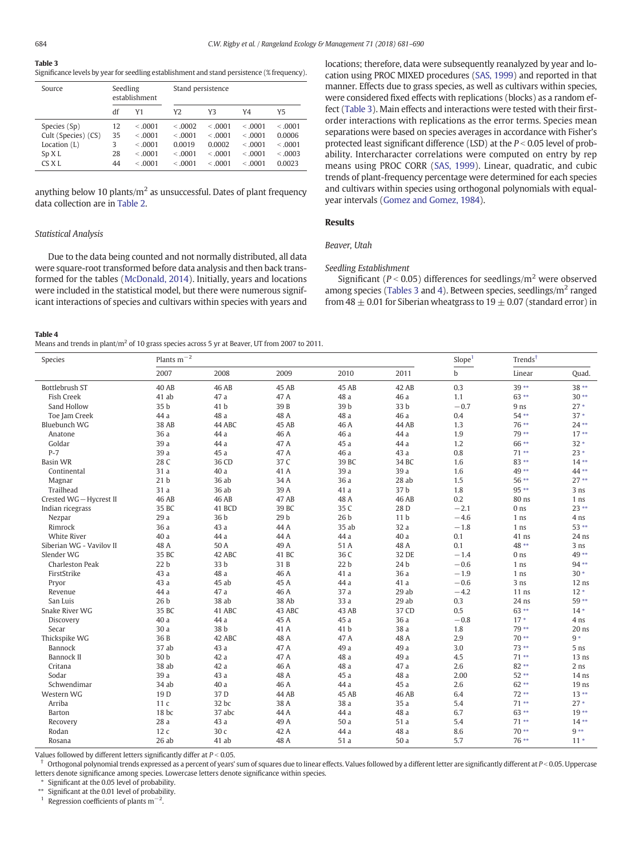<span id="page-3-0"></span>Table 3

Significance levels by year for seedling establishment and stand persistence (% frequency).

| Source              | Seedling<br>establishment |         | Stand persistence |         |          |         |  |
|---------------------|---------------------------|---------|-------------------|---------|----------|---------|--|
|                     | df                        | Υ1      | Y2                | Y3      | Y4       | Y5      |  |
| Species (Sp)        | 12                        | < 0.001 | < 0.0002          | < 0.001 | < 0.001  | < 0.001 |  |
| Cult (Species) (CS) | 35                        | < 0.001 | < 0.001           | < 0.001 | < 0.001  | 0.0006  |  |
| Location $(L)$      | 3                         | < 0.001 | 0.0019            | 0.0002  | < 0.001  | < 0.001 |  |
| Sp XL               | 28                        | < 0.001 | < 0.001           | < 0.001 | < 0.0001 | < 0.003 |  |
| CS X L              | 44                        | < 0.001 | < 0.001           | < 0.001 | < 0.001  | 0.0023  |  |
|                     |                           |         |                   |         |          |         |  |

anything below 10 plants/ $m<sup>2</sup>$  as unsuccessful. Dates of plant frequency data collection are in [Table 2](#page-2-0).

# Statistical Analysis

Due to the data being counted and not normally distributed, all data were square-root transformed before data analysis and then back transformed for the tables ([McDonald, 2014](#page-9-0)). Initially, years and locations were included in the statistical model, but there were numerous significant interactions of species and cultivars within species with years and

Table 4

Means and trends in plant/m<sup>2</sup> of 10 grass species across 5 yr at Beaver. UT from 2007 to 2011.

locations; therefore, data were subsequently reanalyzed by year and location using PROC MIXED procedures [\(SAS, 1999](#page-9-0)) and reported in that manner. Effects due to grass species, as well as cultivars within species, were considered fixed effects with replications (blocks) as a random effect (Table 3). Main effects and interactions were tested with their firstorder interactions with replications as the error terms. Species mean separations were based on species averages in accordance with Fisher's protected least significant difference (LSD) at the  $P < 0.05$  level of probability. Intercharacter correlations were computed on entry by rep means using PROC CORR [\(SAS, 1999\)](#page-9-0). Linear, quadratic, and cubic trends of plant-frequency percentage were determined for each species and cultivars within species using orthogonal polynomials with equalyear intervals [\(Gomez and Gomez, 1984](#page-9-0)).

# Results

Beaver, Utah

# Seedling Establishment

Significant ( $P < 0.05$ ) differences for seedlings/m<sup>2</sup> were observed among species (Tables 3 and 4). Between species, seedlings/ $m<sup>2</sup>$  ranged from 48  $\pm$  0.01 for Siberian wheatgrass to 19  $\pm$  0.07 (standard error) in

| Species                  | Plants $\rm m^{-2}$ |              |        |                 |                 | Slope <sup>1</sup> | Trends <sup>†</sup> |                  |
|--------------------------|---------------------|--------------|--------|-----------------|-----------------|--------------------|---------------------|------------------|
|                          | 2007                | 2008         | 2009   | 2010            | 2011            | b                  | Linear              | Quad.            |
| Bottlebrush ST           | <b>40 AB</b>        | <b>46 AB</b> | 45 AB  | 45 AB           | 42 AB           | 0.3                | $39**$              | $38**$           |
| Fish Creek               | $41$ ab             | 47 a         | 47 A   | 48 a            | 46 a            | 1,1                | $63**$              | $30**$           |
| Sand Hollow              | 35 b                | 41 b         | 39 B   | 39 b            | 33 b            | $-0.7$             | 9 <sub>ns</sub>     | $27*$            |
| Toe Jam Creek            | 44 a                | 48 a         | 48 A   | 48 a            | 46 a            | 0.4                | $54**$              | $37*$            |
| <b>Bluebunch WG</b>      | 38 AB               | 44 ABC       | 45 AB  | 46 A            | 44 AB           | 1.3                | 76 **               | $24**$           |
| Anatone                  | 36 a                | 44 a         | 46 A   | 46 a            | 44 a            | 1.9                | 79**                | $17**$           |
| Goldar                   | 39 a                | 44 a         | 47 A   | 45 a            | 44 a            | 1.2                | 66**                | $32*$            |
| $P-7$                    | 39 a                | 45 a         | 47 A   | 46 a            | 43 a            | 0.8                | $71**$              | $23*$            |
| <b>Basin WR</b>          | 28 C                | 36 CD        | 37 C   | 39 BC           | 34 BC           | 1.6                | $83**$              | $14**$           |
| Continental              | 31 a                | 40 a         | 41 A   | 39 a            | 39 a            | 1.6                | 49**                | 44**             |
| Magnar                   | 21 <sub>b</sub>     | 36 ab        | 34 A   | 36 a            | 28ab            | 1.5                | 56**                | $27**$           |
| Trailhead                | 31a                 | 36ab         | 39 A   | 41 a            | 37 b            | 1.8                | $95**$              | $3$ ns           |
| Crested WG-Hycrest II    | <b>46 AB</b>        | <b>46 AB</b> | 47 AB  | 48 A            | <b>46 AB</b>    | 0.2                | 80 ns               | 1 <sub>ns</sub>  |
| Indian ricegrass         | 35 BC               | 41 BCD       | 39 BC  | 35 C            | 28 D            | $-2.1$             | 0 <sub>ns</sub>     | $23**$           |
| Nezpar                   | 29 a                | 36 b         | 29 b   | 26 <sub>b</sub> | 11 <sub>b</sub> | $-4.6$             | 1 <sub>ns</sub>     | 4 <sub>ns</sub>  |
| Rimrock                  | 36 a                | 43 a         | 44 A   | 35 ab           | 32 a            | $-1.8$             | 1 <sub>ns</sub>     | $53**$           |
| <b>White River</b>       | 40 a                | 44 a         | 44 A   | 44 a            | 40 a            | 0.1                | 41 ns               | $24$ ns          |
| Siberian WG - Vavilov II | 48 A                | 50 A         | 49 A   | 51 A            | 48 A            | 0.1                | 48**                | 3 <sub>ns</sub>  |
| Slender WG               | 35 BC               | 42 ABC       | 41 BC  | 36 C            | 32 DE           | $-1.4$             | 0 <sub>ns</sub>     | 49**             |
| Charleston Peak          | 22 <sub>b</sub>     | 33 b         | 31 B   | 22 <sub>b</sub> | 24 <sub>b</sub> | $-0.6$             | 1 <sub>ns</sub>     | 94**             |
| FirstStrike              | 43 a                | 48 a         | 46 A   | 41 a            | 36 a            | $-1.9$             | 1 <sub>ns</sub>     | $30 *$           |
| Pryor                    | 43 a                | 45 ab        | 45 A   | 44 a            | 41 a            | $-0.6$             | 3 <sub>ns</sub>     | $12$ ns          |
| Revenue                  | 44 a                | 47 a         | 46 A   | 37a             | 29ab            | $-4.2$             | $11$ ns             | $12*$            |
| San Luis                 | 26 b                | 38 ab        | 38 Ab  | 33 a            | 29 ab           | 0.3                | $24$ ns             | 59**             |
| Snake River WG           | 35 BC               | 41 ABC       | 43 ABC | 43 AB           | 37 CD           | 0.5                | $63**$              | $14*$            |
| Discovery                | 40 a                | 44 a         | 45 A   | 45 a            | 36 a            | $-0.8$             | $17*$               | 4 <sub>ns</sub>  |
| Secar                    | 30 a                | 38 b         | 41 A   | 41 b            | 38 a            | 1.8                | 79**                | $20$ ns          |
| Thickspike WG            | 36 B                | 42 ABC       | 48 A   | 47 A            | 48 A            | 2.9                | $70**$              | $9 *$            |
| Bannock                  | 37 ab               | 43 a         | 47 A   | 49 a            | 49 a            | 3.0                | $73**$              | 5 <sub>ns</sub>  |
| Bannock II               | 30 b                | 42 a         | 47 A   | 48 a            | 49 a            | 4.5                | $71**$              | $13$ ns          |
| Critana                  | 38 ab               | 42 a         | 46 A   | 48 a            | 47 a            | 2.6                | $82**$              | 2 <sub>ns</sub>  |
| Sodar                    | 39 a                | 43 a         | 48 A   | 45 a            | 48 a            | 2.00               | $52**$              | $14$ ns          |
| Schwendimar              | 34 ab               | 40a          | 46 A   | 44 a            | 45a             | 2.6                | $62**$              | 19 <sub>ns</sub> |
| Western WG               | 19 <sub>D</sub>     | 37 D         | 44 AB  | 45 AB           | <b>46 AB</b>    | 6.4                | $72**$              | $13**$           |
| Arriba                   | 11 c                | 32 bc        | 38 A   | 38 a            | 35a             | 5.4                | $71**$              | $27*$            |
| Barton                   | 18 bc               | 37 abc       | 44 A   | 44 a            | 48 a            | 6.7                | $63**$              | $19**$           |
| Recovery                 | 28 a                | 43 a         | 49 A   | 50 a            | 51a             | 5.4                | $71**$              | $14**$           |
| Rodan                    | 12 c                | 30 с         | 42 A   | 44 a            | 48 a            | 8.6                | $70**$              | $9**$            |
| Rosana                   | 26ab                | 41 ab        | 48 A   | 51 a            | 50 a            | 5.7                | 76**                | $11*$            |

Values followed by different letters significantly differ at  $P < 0.05$ .

 $^\dagger$  Orthogonal polynomial trends expressed as a percent of years' sum of squares due to linear effects. Values followed by a different letter are significantly different at P < 0.05. Uppercase letters denote significance among species. Lowercase letters denote significance within species.

Significant at the 0.05 level of probability.

⁎⁎ Significant at the 0.01 level of probability.

<sup>1</sup> Regression coefficients of plants m<sup>-2</sup>.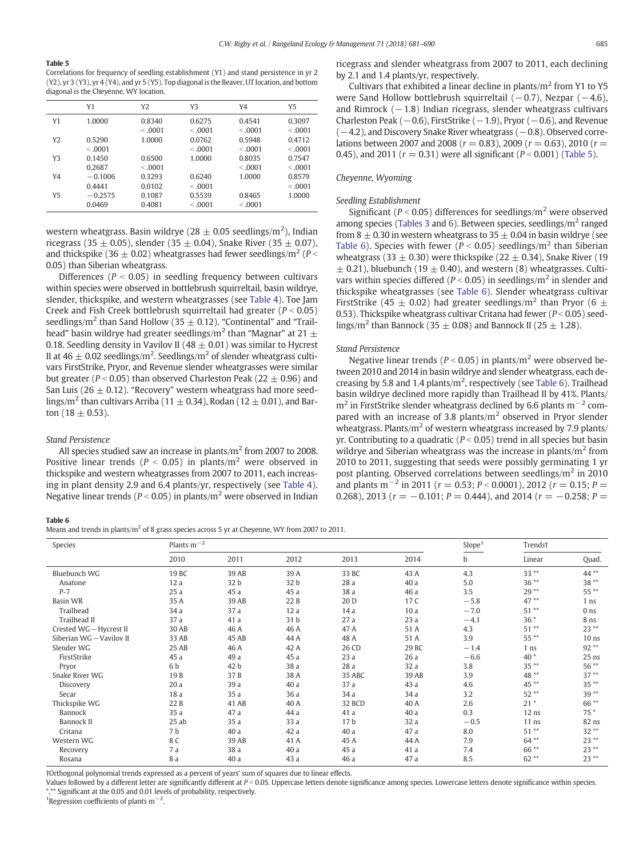<span id="page-4-0"></span>Correlations for frequency of seedling establishment (Y1) and stand persistence in yr 2 (Y2), yr 3 (Y3), yr 4 (Y4), and yr 5 (Y5). Top diagonal is the Beaver, UT location, and bottom diagonal is the Cheyenne, WY location.

|                | Υ1        | Y2      | Y3      | Y4       | Y <sub>5</sub> |
|----------------|-----------|---------|---------|----------|----------------|
| Y1             | 1.0000    | 0.8340  | 0.6275  | 0.4541   | 0.3097         |
|                |           | < 0.001 | < 0.001 | < 0.001  | < 0.001        |
| Y <sub>2</sub> | 0.5290    | 1.0000  | 0.0762  | 0.5948   | 0.4712         |
|                | < 0.001   |         | < 0.001 | < 0.001  | < 0.001        |
| Y3             | 0.1450    | 0.6500  | 1.0000  | 0.8035   | 0.7547         |
|                | 0.2687    | < 0.001 |         | < 0.001  | < 0.001        |
| Y4             | $-0.1006$ | 0.3293  | 0.6240  | 1.0000   | 0.8579         |
|                | 0.4441    | 0.0102  | < 0.001 |          | < 0.001        |
| Y <sub>5</sub> | $-0.2575$ | 0.1087  | 0.5539  | 0.8465   | 1.0000         |
|                | 0.0469    | 0.4081  | < 0.001 | < 0.0001 |                |

western wheatgrass. Basin wildrye (28  $\pm$  0.05 seedlings/m<sup>2</sup>), Indian ricegrass (35  $\pm$  0.05), slender (35  $\pm$  0.04), Snake River (35  $\pm$  0.07), and thickspike (36  $\pm$  0.02) wheatgrasses had fewer seedlings/m<sup>2</sup> (P < 0.05) than Siberian wheatgrass.

Differences ( $P < 0.05$ ) in seedling frequency between cultivars within species were observed in bottlebrush squirreltail, basin wildrye, slender, thickspike, and western wheatgrasses (see [Table 4](#page-3-0)). Toe Jam Creek and Fish Creek bottlebrush squirreltail had greater ( $P < 0.05$ ) seedlings/m<sup>2</sup> than Sand Hollow (35  $\pm$  0.12). "Continental" and "Trailhead" basin wildrye had greater seedlings/ $m^2$  than "Magnar" at 21  $\pm$ 0.18. Seedling density in Vavilov II (48  $\pm$  0.01) was similar to Hycrest II at 46  $\pm$  0.02 seedlings/m<sup>2</sup>. Seedlings/m<sup>2</sup> of slender wheatgrass cultivars FirstStrike, Pryor, and Revenue slender wheatgrasses were similar but greater ( $P < 0.05$ ) than observed Charleston Peak (22  $\pm$  0.96) and San Luis (26  $\pm$  0.12). "Recovery" western wheatgrass had more seedlings/m<sup>2</sup> than cultivars Arriba (11  $\pm$  0.34), Rodan (12  $\pm$  0.01), and Barton  $(18 \pm 0.53)$ .

# Stand Persistence

All species studied saw an increase in plants/ $m^2$  from 2007 to 2008. Positive linear trends ( $P < 0.05$ ) in plants/m<sup>2</sup> were observed in thickspike and western wheatgrasses from 2007 to 2011, each increasing in plant density 2.9 and 6.4 plants/yr, respectively (see [Table 4](#page-3-0)). Negative linear trends ( $P < 0.05$ ) in plants/m<sup>2</sup> were observed in Indian ricegrass and slender wheatgrass from 2007 to 2011, each declining by 2.1 and 1.4 plants/yr, respectively.

Cultivars that exhibited a linear decline in plants/ $m<sup>2</sup>$  from Y1 to Y5 were Sand Hollow bottlebrush squirreltail  $(-0.7)$ , Nezpar  $(-4.6)$ , and Rimrock  $(-1.8)$  Indian ricegrass, slender wheatgrass cultivars Charleston Peak ( $-0.6$ ), FirstStrike ( $-1.9$ ), Pryor ( $-0.6$ ), and Revenue  $(-4.2)$ , and Discovery Snake River wheatgrass  $(-0.8)$ . Observed correlations between 2007 and 2008 ( $r = 0.83$ ), 2009 ( $r = 0.63$ ), 2010 ( $r = 0.63$ ) 0.45), and 2011 ( $r = 0.31$ ) were all significant ( $P < 0.001$ ) (Table 5).

# Cheyenne, Wyoming

# Seedling Establishment

Significant ( $P < 0.05$ ) differences for seedlings/m<sup>2</sup> were observed among species [\(Tables 3](#page-3-0) and 6). Between species, seedlings/ $m^2$  ranged from  $8 \pm 0.30$  in western wheatgrass to  $35 \pm 0.04$  in basin wildrye (see Table 6). Species with fewer ( $P < 0.05$ ) seedlings/m<sup>2</sup> than Siberian wheatgrass (33  $\pm$  0.30) were thickspike (22  $\pm$  0.34), Snake River (19  $\pm$  0.21), bluebunch (19  $\pm$  0.40), and western (8) wheatgrasses. Cultivars within species differed ( $P < 0.05$ ) in seedlings/m<sup>2</sup> in slender and thickspike wheatgrasses (see Table 6). Slender wheatgrass cultivar FirstStrike (45  $\pm$  0.02) had greater seedlings/m<sup>2</sup> than Pryor (6  $\pm$ 0.53). Thickspike wheatgrass cultivar Critana had fewer ( $P < 0.05$ ) seedlings/m<sup>2</sup> than Bannock (35  $\pm$  0.08) and Bannock II (25  $\pm$  1.28).

#### Stand Persistence

Negative linear trends ( $P < 0.05$ ) in plants/m<sup>2</sup> were observed between 2010 and 2014 in basin wildrye and slender wheatgrass, each decreasing by 5.8 and 1.4 plants/m<sup>2</sup>, respectively (see Table 6). Trailhead basin wildrye declined more rapidly than Trailhead II by 41%. Plants/ m<sup>2</sup> in FirstStrike slender wheatgrass declined by 6.6 plants m<sup>-2</sup> compared with an increase of 3.8 plants/ $m<sup>2</sup>$  observed in Pryor slender wheatgrass. Plants/ $m^2$  of western wheatgrass increased by 7.9 plants/ yr. Contributing to a quadratic ( $P < 0.05$ ) trend in all species but basin wildrye and Siberian wheatgrass was the increase in plants/ $m<sup>2</sup>$  from 2010 to 2011, suggesting that seeds were possibly germinating 1 yr post planting. Observed correlations between seedlings/ $m<sup>2</sup>$  in 2010 and plants m<sup>-2</sup> in 2011 ( $r = 0.53$ ; P < 0.0001), 2012 ( $r = 0.15$ ; P = 0.268), 2013 ( $r = -0.101$ ;  $P = 0.444$ ), and 2014 ( $r = -0.258$ ;  $P =$ 

#### Table 6

Means and trends in plants/m<sup>2</sup> of 8 grass species across 5 yr at Cheyenne, WY from 2007 to 2011.

| Species                | Plants $m^{-2}$ |       |                 |                 |       | Slope <sup>1</sup> | Trends†         |                  |
|------------------------|-----------------|-------|-----------------|-----------------|-------|--------------------|-----------------|------------------|
|                        | 2010            | 2011  | 2012            | 2013            | 2014  | b                  | Linear          | Quad.            |
| Bluebunch WG           | 19 BC           | 39 AB | 39 A            | 33 BC           | 43 A  | 4.3                | $33***$         | $44***$          |
| Anatone                | 12a             | 32 b  | 32 <sub>b</sub> | 28 a            | 40 a  | 5.0                | $36***$         | $38**$           |
| $P-7$                  | 25a             | 45 a  | 45 a            | 38 a            | 46 a  | 3.5                | $29**$          | 55**             |
| Basin WR               | 35 A            | 39 AB | 22 B            | 20 D            | 17 C  | $-5.8$             | $47**$          | 1 <sub>ns</sub>  |
| Trailhead              | 34 a            | 37 a  | 12a             | 14a             | 10a   | $-7.0$             | $51***$         | 0 <sub>ns</sub>  |
| Trailhead II           | 37a             | 41 a  | 31 <sub>b</sub> | 27a             | 23a   | $-4.1$             | $36*$           | 8 <sub>ns</sub>  |
| Crested WG-Hycrest II  | 30 AB           | 46 A  | 46 A            | 47 A            | 51 A  | 4.3                | $51***$         | $23**$           |
| Siberian WG-Vavilov II | 33 AB           | 45 AB | 44 A            | 48 A            | 51 A  | 3.9                | 55**            | 10 <sub>ns</sub> |
| Slender WG             | 25 AB           | 46 A  | 42 A            | 26 CD           | 29 BC | $-1.4$             | 1 <sub>ns</sub> | 92 **            |
| FirstStrike            | 45 a            | 49 a  | 45 a            | 23a             | 26a   | $-6.6$             | $40*$           | $25$ ns          |
| Pryor                  | 6 <sub>b</sub>  | 42 b  | 38 a            | 28 a            | 32a   | 3.8                | $35***$         | 56**             |
| Snake River WG         | 19 B            | 37 B  | 38 A            | 35 ABC          | 39 AB | 3.9                | 48**            | $37**$           |
| Discovery              | 20a             | 39 a  | 40 a            | 37 a            | 43 a  | 4.6                | 45**            | $35***$          |
| Secar                  | 18a             | 35a   | 36 a            | 34 a            | 34 a  | 3.2                | $52**$          | $39**$           |
| Thickspike WG          | 22B             | 41 AB | 40 A            | 32 BCD          | 40 A  | 2.6                | $21 *$          | 66**             |
| Bannock                | 35a             | 47 a  | 44 a            | 41 a            | 40 a  | 0.3                | $12$ ns         | $75*$            |
| Bannock II             | 25ab            | 35a   | 33a             | 17 <sub>b</sub> | 32 a  | $-0.5$             | $11$ ns         | 82 ns            |
| Critana                | 7 <sub>b</sub>  | 40 a  | 42 a            | 40 a            | 47 a  | 8.0                | $51***$         | $32**$           |
| Western WG             | 8 C             | 39 AB | 41 A            | 45 A            | 44 A  | 7.9                | $64***$         | $23**$           |
| Recovery               | 7 a             | 38 a  | 40 a            | 45 a            | 41 a  | 7.4                | 66**            | $23**$           |
| Rosana                 | 8 a             | 40 a  | 43 a            | 46 a            | 47 a  | 8.5                | $62**$          | $23**$           |

†Orthogonal polynomial trends expressed as a percent of years' sum of squares due to linear effects.

Values followed by a different letter are significantly different at  $P < 0.05$ . Uppercase letters denote significance among species. Lowercase letters denote significance within species. ,\*\* Significant at the 0.05 and 0.01 levels of probability, respectively.

<sup>1</sup>Regression coefficients of plants m<sup>-2</sup>.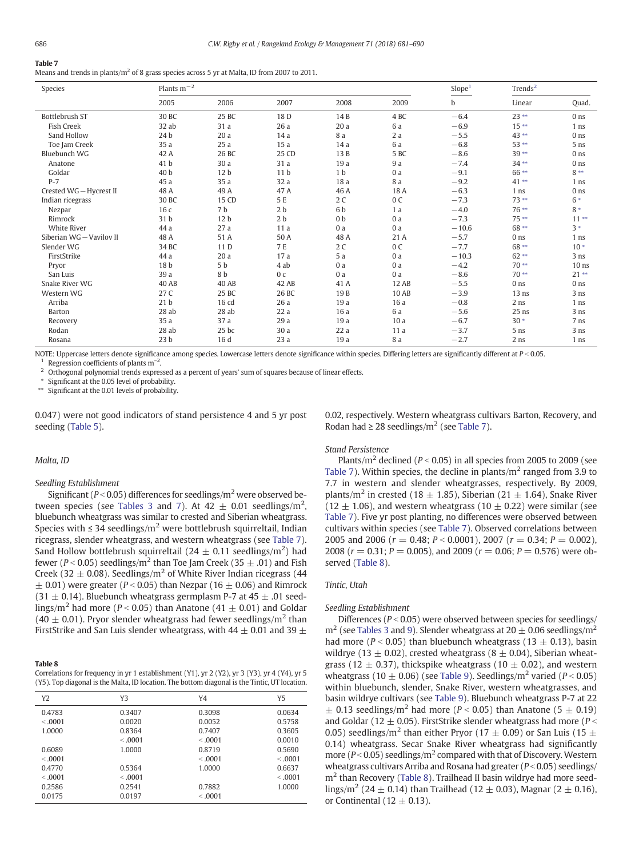<span id="page-5-0"></span>Means and trends in plants/m<sup>2</sup> of 8 grass species across 5 yr at Malta, ID from 2007 to 2011.

| Species                  | Plants $m^{-2}$ |                 |                 |                |              | Slope <sup>1</sup> | Trends <sup>2</sup> |                  |
|--------------------------|-----------------|-----------------|-----------------|----------------|--------------|--------------------|---------------------|------------------|
|                          | 2005            | 2006            | 2007            | 2008           | 2009         | b                  | Linear              | Quad.            |
| <b>Bottlebrush ST</b>    | 30 BC           | 25 BC           | 18 <sub>D</sub> | 14B            | 4BC          | $-6.4$             | $23**$              | 0 <sub>ns</sub>  |
| Fish Creek               | 32ab            | 31 a            | 26a             | 20a            | 6 a          | $-6.9$             | $15**$              | 1 <sub>ns</sub>  |
| Sand Hollow              | 24 b            | 20a             | 14a             | 8 a            | 2a           | $-5.5$             | 43**                | 0 <sub>ns</sub>  |
| Toe Jam Creek            | 35a             | 25a             | 15a             | 14a            | 6 a          | $-6.8$             | $53**$              | 5 <sub>ns</sub>  |
| Bluebunch WG             | 42 A            | 26 BC           | 25 CD           | 13B            | 5BC          | $-8.6$             | $39**$              | 0 <sub>ns</sub>  |
| Anatone                  | 41 b            | 30a             | 31 a            | 19a            | 9 a          | $-7.4$             | $34**$              | 0 <sub>ns</sub>  |
| Goldar                   | 40 b            | 12 <sub>b</sub> | 11 <sub>b</sub> | 1 <sub>b</sub> | 0a           | $-9.1$             | 66 **               | $8**$            |
| $P-7$                    | 45 a            | 35a             | 32 a            | 18a            | 8 a          | $-9.2$             | 41**                | 1 <sub>ns</sub>  |
| Crested WG-Hycrest II    | 48 A            | 49 A            | 47 A            | 46 A           | 18 A         | $-6.3$             | 1 <sub>ns</sub>     | 0 <sub>ns</sub>  |
| Indian ricegrass         | 30 BC           | 15 CD           | 5 E             | 2C             | 0 C          | $-7.3$             | 73 **               | $6*$             |
| Nezpar                   | 16c             | 7 <sub>b</sub>  | 2 <sub>b</sub>  | 6 <sub>b</sub> | 1a           | $-4.0$             | 76**                | $8 *$            |
| Rimrock                  | 31b             | 12 <sub>b</sub> | 2 <sub>b</sub>  | 0 <sub>b</sub> | 0a           | $-7.3$             | 75**                | $11**$           |
| <b>White River</b>       | 44 a            | 27a             | 11a             | 0a             | 0a           | $-10.6$            | 68 **               | $3*$             |
| Siberian WG - Vavilov II | 48 A            | 51 A            | 50 A            | 48 A           | 21 A         | $-5.7$             | 0 <sub>ns</sub>     | 1 <sub>ns</sub>  |
| Slender WG               | 34 BC           | 11 D            | 7 E             | 2 C            | 0 C          | $-7.7$             | 68 **               | $10*$            |
| FirstStrike              | 44 a            | 20a             | 17a             | 5a             | 0a           | $-10.3$            | $62**$              | 3 <sub>ns</sub>  |
| Prvor                    | 18 <sub>b</sub> | 5 <sub>b</sub>  | 4 ab            | 0a             | 0a           | $-4.2$             | $70**$              | 10 <sub>ns</sub> |
| San Luis                 | 39 a            | 8b              | 0 <sub>c</sub>  | 0a             | 0a           | $-8.6$             | $70**$              | $21**$           |
| Snake River WG           | <b>40 AB</b>    | <b>40 AB</b>    | 42 AB           | 41 A           | 12 AB        | $-5.5$             | 0 <sub>ns</sub>     | 0 <sub>ns</sub>  |
| Western WG               | 27 C            | 25 BC           | 26 BC           | 19B            | <b>10 AB</b> | $-3.9$             | $13$ ns             | 3 <sub>ns</sub>  |
| Arriba                   | 21 <sub>b</sub> | 16 cd           | 26a             | 19a            | 16a          | $-0.8$             | $2$ ns              | 1 <sub>ns</sub>  |
| Barton                   | 28ab            | 28ab            | 22a             | 16a            | 6 a          | $-5.6$             | $25$ ns             | 3 <sub>ns</sub>  |
| Recovery                 | 35a             | 37a             | 29a             | 19a            | 10a          | $-6.7$             | $30*$               | 7 <sub>ns</sub>  |
| Rodan                    | 28ab            | $25$ bc         | 30 a            | 22a            | 11a          | $-3.7$             | 5 <sub>ns</sub>     | 3 <sub>ns</sub>  |
| Rosana                   | 23 <sub>b</sub> | 16d             | 23a             | 19a            | 8 a          | $-2.7$             | 2 <sub>ns</sub>     | 1 <sub>ns</sub>  |

NOTE: Uppercase letters denote significance among species. Lowercase letters denote significance within species. Differing letters are significantly different at  $P < 0.05$ .

<sup>1</sup> Regression coefficients of plants  $m^{-2}$ .

 $2$  Orthogonal polynomial trends expressed as a percent of years' sum of squares because of linear effects.

Significant at the 0.05 level of probability.

⁎⁎ Significant at the 0.01 levels of probability.

0.047) were not good indicators of stand persistence 4 and 5 yr post seeding [\(Table 5\)](#page-4-0).

# 0.02, respectively. Western wheatgrass cultivars Barton, Recovery, and Rodan had  $\geq$  28 seedlings/m<sup>2</sup> (see Table 7).

# Stand Persistence

# Malta, ID

# Seedling Establishment

Significant ( $P < 0.05$ ) differences for seedlings/m<sup>2</sup> were observed be-tween species (see [Tables 3](#page-3-0) and 7). At 42  $\pm$  0.01 seedlings/m<sup>2</sup>, bluebunch wheatgrass was similar to crested and Siberian wheatgrass. Species with  $\leq 34$  seedlings/m<sup>2</sup> were bottlebrush squirreltail, Indian ricegrass, slender wheatgrass, and western wheatgrass (see Table 7). Sand Hollow bottlebrush squirreltail (24  $\pm$  0.11 seedlings/m<sup>2</sup>) had fewer (P < 0.05) seedlings/m<sup>2</sup> than Toe Jam Creek (35  $\pm$  .01) and Fish Creek (32  $\pm$  0.08). Seedlings/m<sup>2</sup> of White River Indian ricegrass (44  $\pm$  0.01) were greater (P < 0.05) than Nezpar (16  $\pm$  0.06) and Rimrock  $(31 \pm 0.14)$ . Bluebunch wheatgrass germplasm P-7 at 45  $\pm$  .01 seedlings/m<sup>2</sup> had more ( $P < 0.05$ ) than Anatone (41  $\pm$  0.01) and Goldar  $(40 \pm 0.01)$ . Pryor slender wheatgrass had fewer seedlings/m<sup>2</sup> than FirstStrike and San Luis slender wheatgrass, with 44  $\pm$  0.01 and 39  $\pm$ 

| <b>Table 8</b>                                                                                           |
|----------------------------------------------------------------------------------------------------------|
| Correlations for frequency in yr 1 establishment $(Y1)$ , yr 2 $(Y2)$ , yr 3 $(Y3)$ , yr 4 $(Y4)$ , yr 5 |
| (Y5). Top diagonal is the Malta, ID location. The bottom diagonal is the Tintic, UT location.            |

| Y <sub>2</sub> | Y3      | Y4      | Y5      |
|----------------|---------|---------|---------|
| 0.4783         | 0.3407  | 0.3098  | 0.0634  |
| < 0.001        | 0.0020  | 0.0052  | 0.5758  |
| 1.0000         | 0.8364  | 0.7407  | 0.3605  |
|                | < 0.001 | < 0.001 | 0.0010  |
| 0.6089         | 1.0000  | 0.8719  | 0.5690  |
| < 0.001        |         | < 0.001 | < 0.001 |
| 0.4770         | 0.5364  | 1.0000  | 0.6637  |
| < 0.001        | < 0.001 |         | < 0.001 |
| 0.2586         | 0.2541  | 0.7882  | 1.0000  |
| 0.0175         | 0.0197  | < 0.001 |         |

Plants/m<sup>2</sup> declined ( $P < 0.05$ ) in all species from 2005 to 2009 (see Table 7). Within species, the decline in plants/ $m<sup>2</sup>$  ranged from 3.9 to 7.7 in western and slender wheatgrasses, respectively. By 2009, plants/m<sup>2</sup> in crested (18  $\pm$  1.85), Siberian (21  $\pm$  1.64), Snake River  $(12 \pm 1.06)$ , and western wheatgrass  $(10 \pm 0.22)$  were similar (see Table 7). Five yr post planting, no differences were observed between cultivars within species (see Table 7). Observed correlations between 2005 and 2006 ( $r = 0.48$ ;  $P < 0.0001$ ), 2007 ( $r = 0.34$ ;  $P = 0.002$ ), 2008 ( $r = 0.31$ ;  $P = 0.005$ ), and 2009 ( $r = 0.06$ ;  $P = 0.576$ ) were observed (Table 8).

# Tintic, Utah

#### Seedling Establishment

Differences ( $P < 0.05$ ) were observed between species for seedlings/  $m<sup>2</sup>$  (see [Tables 3](#page-3-0) and [9\)](#page-6-0). Slender wheatgrass at 20  $\pm$  0.06 seedlings/ $m<sup>2</sup>$ had more ( $P < 0.05$ ) than bluebunch wheatgrass (13  $\pm$  0.13), basin wildrye (13  $\pm$  0.02), crested wheatgrass (8  $\pm$  0.04), Siberian wheatgrass (12  $\pm$  0.37), thickspike wheatgrass (10  $\pm$  0.02), and western wheatgrass (10  $\pm$  0.06) (see [Table 9](#page-6-0)). Seedlings/m<sup>2</sup> varied (P < 0.05) within bluebunch, slender, Snake River, western wheatgrasses, and basin wildrye cultivars (see [Table 9\)](#page-6-0). Bluebunch wheatgrass P-7 at 22  $\pm$  0.13 seedlings/m<sup>2</sup> had more (P < 0.05) than Anatone (5  $\pm$  0.19) and Goldar (12  $\pm$  0.05). FirstStrike slender wheatgrass had more (P < 0.05) seedlings/m<sup>2</sup> than either Pryor (17  $\pm$  0.09) or San Luis (15  $\pm$ 0.14) wheatgrass. Secar Snake River wheatgrass had significantly more ( $P < 0.05$ ) seedlings/m<sup>2</sup> compared with that of Discovery. Western wheatgrass cultivars Arriba and Rosana had greater ( $P < 0.05$ ) seedlings/  $m<sup>2</sup>$  than Recovery (Table 8). Trailhead II basin wildrye had more seedlings/m<sup>2</sup> (24  $\pm$  0.14) than Trailhead (12  $\pm$  0.03), Magnar (2  $\pm$  0.16), or Continental ( $12 \pm 0.13$ ).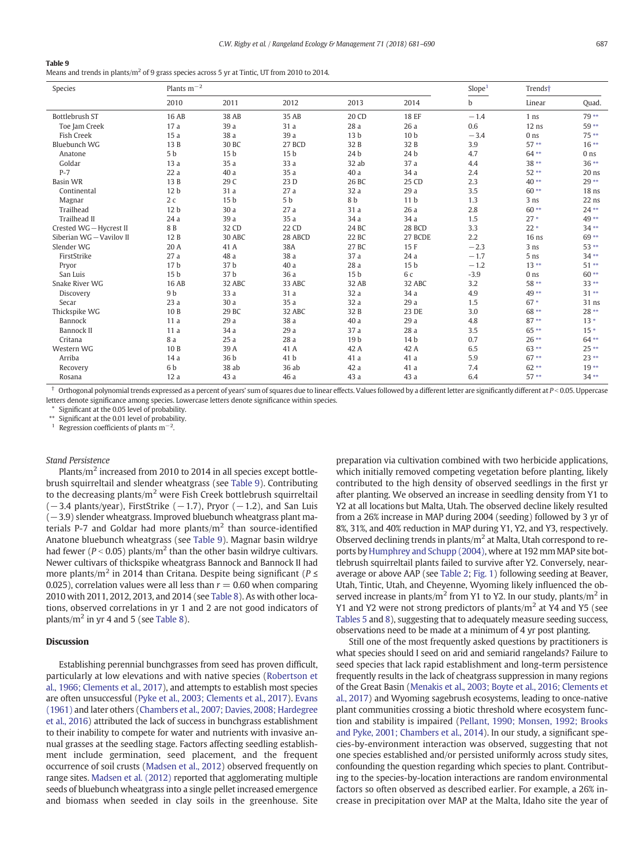<span id="page-6-0"></span>Means and trends in plants/m<sup>2</sup> of 9 grass species across 5 yr at Tintic, UT from 2010 to 2014.

| Species                | Plants $\rm m^{-2}$ |                 |                 |                 |                 | Slope <sup>1</sup> | Trends <sup>+</sup> |                 |
|------------------------|---------------------|-----------------|-----------------|-----------------|-----------------|--------------------|---------------------|-----------------|
|                        | 2010                | 2011            | 2012            | 2013            | 2014            | b                  | Linear              | Quad.           |
| Bottlebrush ST         | 16 AB               | 38 AB           | 35 AB           | 20 CD           | 18 EF           | $-1.4$             | 1 <sub>ns</sub>     | 79**            |
| Toe Jam Creek          | 17a                 | 39 a            | 31a             | 28 a            | 26a             | 0.6                | $12$ ns             | 59**            |
| Fish Creek             | 15a                 | 38 a            | 39 a            | 13 <sub>b</sub> | 10 <sub>b</sub> | $-3.4$             | 0 <sub>ns</sub>     | $75**$          |
| Bluebunch WG           | 13 B                | 30 BC           | 27 BCD          | 32 B            | 32 B            | 3.9                | $57**$              | $16**$          |
| Anatone                | 5 <sub>b</sub>      | 15 <sub>b</sub> | 15 <sub>b</sub> | 24 <sub>b</sub> | 24 <sub>b</sub> | 4.7                | 64**                | 0 <sub>ns</sub> |
| Goldar                 | 13a                 | 35 a            | 33 a            | $32$ ab         | 37 a            | 4.4                | 38**                | $36**$          |
| $P-7$                  | 22a                 | 40 a            | 35 a            | 40 a            | 34 a            | 2.4                | $52**$              | $20$ ns         |
| <b>Basin WR</b>        | 13 B                | 29 C            | 23 D            | 26 BC           | 25 CD           | 2.3                | $40**$              | $29**$          |
| Continental            | 12 <sub>b</sub>     | 31 a            | 27a             | 32 a            | 29a             | 3.5                | $60**$              | $18$ ns         |
| Magnar                 | 2c                  | 15 <sub>b</sub> | 5 <sub>b</sub>  | 8 b             | 11 <sub>b</sub> | 1.3                | 3 <sub>ns</sub>     | $22$ ns         |
| Trailhead              | 12 <sub>b</sub>     | 30a             | 27a             | 31a             | 26 a            | 2.8                | $60**$              | $24**$          |
| Trailhead II           | 24a                 | 39 a            | 35 a            | 34 a            | 34 a            | 1.5                | $27*$               | 49**            |
| Crested WG-Hycrest II  | 8 B                 | 32 CD           | 22 CD           | 24 BC           | 28 BCD          | 3.3                | $22*$               | $34**$          |
| Siberian WG-Vavilov II | 12 B                | 30 ABC          | 28 ABCD         | 22 BC           | 27 BCDE         | 2.2                | $16$ ns             | 69**            |
| Slender WG             | 20 A                | 41 A            | 38A             | 27 BC           | 15F             | $-2.3$             | 3 <sub>ns</sub>     | $53**$          |
| FirstStrike            | 27a                 | 48 a            | 38 a            | 37 a            | 24 a            | $-1.7$             | 5 <sub>ns</sub>     | $34**$          |
| Pryor                  | 17 <sub>b</sub>     | 37 b            | 40a             | 28a             | 15 <sub>b</sub> | $-1.2$             | $13**$              | $51**$          |
| San Luis               | 15 <sub>b</sub>     | 37 b            | 36 a            | 15 <sub>b</sub> | 6 с             | $-3.9$             | 0 <sub>ns</sub>     | $60**$          |
| Snake River WG         | <b>16 AB</b>        | 32 ABC          | 33 ABC          | 32 AB           | 32 ABC          | 3.2                | 58 **               | $33**$          |
| Discovery              | 9 <sub>b</sub>      | 33a             | 31 a            | 32 a            | 34 a            | 4.9                | 49**                | $31**$          |
| Secar                  | 23a                 | 30a             | 35a             | 32 a            | 29 a            | 1.5                | $67*$               | $31$ ns         |
| Thickspike WG          | 10 <sub>B</sub>     | 29 BC           | 32 ABC          | 32 B            | 23 DE           | 3.0                | 68 **               | $28**$          |
| Bannock                | 11a                 | 29a             | 38 a            | 40a             | 29a             | 4.8                | $87**$              | $13*$           |
| Bannock II             | 11a                 | 34 a            | 29a             | 37 a            | 28a             | 3.5                | $65**$              | $15*$           |
| Critana                | 8 a                 | 25a             | 28 a            | 19 <sub>b</sub> | 14 <sub>b</sub> | 0.7                | $26**$              | $64**$          |
| Western WG             | 10 <sub>B</sub>     | 39 A            | 41 A            | 42 A            | 42 A            | 6.5                | $63**$              | $25**$          |
| Arriba                 | 14a                 | 36 b            | 41 b            | 41 a            | 41 a            | 5.9                | $67**$              | $23**$          |
| Recovery               | 6 <sub>b</sub>      | 38 ab           | 36 ab           | 42 a            | 41 a            | 7.4                | $62**$              | $19**$          |
| Rosana                 | 12a                 | 43 a            | 46 a            | 43 a            | 43 a            | 6.4                | $57**$              | $34**$          |

 $\dagger$  Orthogonal polynomial trends expressed as a percent of years' sum of squares due to linear effects. Values followed by a different letter are significantly different at P < 0.05. Uppercase letters denote significance among species. Lowercase letters denote significance within species.

Significant at the 0.05 level of probability.

Significant at the 0.01 level of probability.

Regression coefficients of plants m<sup> $-2$ </sup> .

# Stand Persistence

Plants/ $m<sup>2</sup>$  increased from 2010 to 2014 in all species except bottlebrush squirreltail and slender wheatgrass (see Table 9). Contributing to the decreasing plants/ $m<sup>2</sup>$  were Fish Creek bottlebrush squirreltail  $(-3.4 \text{ plants/year})$ , FirstStrike  $(-1.7)$ , Pryor  $(-1.2)$ , and San Luis (−3.9) slender wheatgrass. Improved bluebunch wheatgrass plant materials P-7 and Goldar had more plants/ $m<sup>2</sup>$  than source-identified Anatone bluebunch wheatgrass (see Table 9). Magnar basin wildrye had fewer ( $P < 0.05$ ) plants/m<sup>2</sup> than the other basin wildrye cultivars. Newer cultivars of thickspike wheatgrass Bannock and Bannock II had more plants/m<sup>2</sup> in 2014 than Critana. Despite being significant ( $P \leq$ 0.025), correlation values were all less than  $r = 0.60$  when comparing 2010 with 2011, 2012, 2013, and 2014 (see [Table 8](#page-5-0)). As with other locations, observed correlations in yr 1 and 2 are not good indicators of plants/ $m^2$  in yr 4 and 5 (see [Table 8\)](#page-5-0).

# Discussion

Establishing perennial bunchgrasses from seed has proven difficult, particularly at low elevations and with native species ([Robertson et](#page-9-0) [al., 1966; Clements et al., 2017](#page-9-0)), and attempts to establish most species are often unsuccessful ([Pyke et al., 2003; Clements et al., 2017](#page-9-0)). [Evans](#page-9-0) [\(1961\)](#page-9-0) and later others [\(Chambers et al., 2007; Davies, 2008; Hardegree](#page-8-0) [et al., 2016](#page-8-0)) attributed the lack of success in bunchgrass establishment to their inability to compete for water and nutrients with invasive annual grasses at the seedling stage. Factors affecting seedling establishment include germination, seed placement, and the frequent occurrence of soil crusts ([Madsen et al., 2012](#page-9-0)) observed frequently on range sites. [Madsen et al. \(2012\)](#page-9-0) reported that agglomerating multiple seeds of bluebunch wheatgrass into a single pellet increased emergence and biomass when seeded in clay soils in the greenhouse. Site preparation via cultivation combined with two herbicide applications, which initially removed competing vegetation before planting, likely contributed to the high density of observed seedlings in the first yr after planting. We observed an increase in seedling density from Y1 to Y2 at all locations but Malta, Utah. The observed decline likely resulted from a 26% increase in MAP during 2004 (seeding) followed by 3 yr of 8%, 31%, and 40% reduction in MAP during Y1, Y2, and Y3, respectively. Observed declining trends in plants/ $m<sup>2</sup>$  at Malta, Utah correspond to reports by [Humphrey and Schupp \(2004\),](#page-9-0) where at 192 mm MAP site bottlebrush squirreltail plants failed to survive after Y2. Conversely, nearaverage or above AAP (see [Table 2;](#page-2-0) [Fig. 1](#page-7-0)) following seeding at Beaver, Utah, Tintic, Utah, and Cheyenne, Wyoming likely influenced the observed increase in plants/ $m^2$  from Y1 to Y2. In our study, plants/ $m^2$  in Y1 and Y2 were not strong predictors of plants/ $m<sup>2</sup>$  at Y4 and Y5 (see [Tables 5](#page-4-0) and [8](#page-5-0)), suggesting that to adequately measure seeding success, observations need to be made at a minimum of 4 yr post planting.

Still one of the most frequently asked questions by practitioners is what species should I seed on arid and semiarid rangelands? Failure to seed species that lack rapid establishment and long-term persistence frequently results in the lack of cheatgrass suppression in many regions of the Great Basin [\(Menakis et al., 2003; Boyte et al., 2016; Clements et](#page-9-0) [al., 2017](#page-9-0)) and Wyoming sagebrush ecosystems, leading to once-native plant communities crossing a biotic threshold where ecosystem function and stability is impaired ([Pellant, 1990; Monsen, 1992; Brooks](#page-9-0) [and Pyke, 2001; Chambers et al., 2014](#page-9-0)). In our study, a significant species-by-environment interaction was observed, suggesting that not one species established and/or persisted uniformly across study sites, confounding the question regarding which species to plant. Contributing to the species-by-location interactions are random environmental factors so often observed as described earlier. For example, a 26% increase in precipitation over MAP at the Malta, Idaho site the year of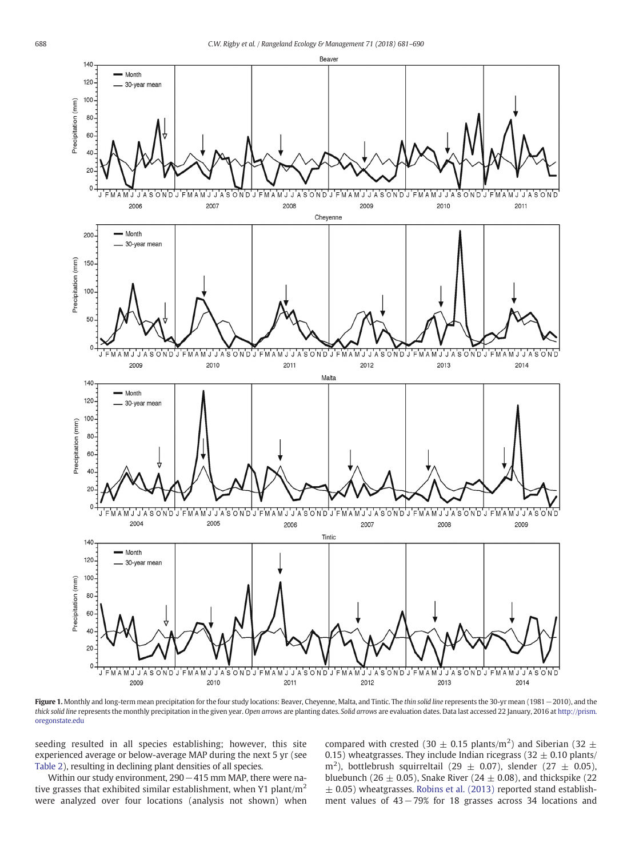<span id="page-7-0"></span>

Figure 1. Monthly and long-term mean precipitation for the four study locations: Beaver, Cheyenne, Malta, and Tintic. The thin solid line represents the 30-yr mean (1981 - 2010), and the thick solid line represents the monthly precipitation in the given year. Open arrows are planting dates. Solid arrows are evaluation dates. Data last accessed 22 January, 2016 at [http://prism.](http://prism.oregonstate.edu) [oregonstate.edu](http://prism.oregonstate.edu)

seeding resulted in all species establishing; however, this site experienced average or below-average MAP during the next 5 yr (see [Table 2\)](#page-2-0), resulting in declining plant densities of all species.

Within our study environment, 290−415 mm MAP, there were native grasses that exhibited similar establishment, when Y1 plant/ $m<sup>2</sup>$ were analyzed over four locations (analysis not shown) when

compared with crested (30  $\pm$  0.15 plants/m<sup>2</sup>) and Siberian (32  $\pm$ 0.15) wheatgrasses. They include Indian ricegrass (32  $\pm$  0.10 plants/ m<sup>2</sup>), bottlebrush squirreltail (29  $\pm$  0.07), slender (27  $\pm$  0.05), bluebunch (26  $\pm$  0.05), Snake River (24  $\pm$  0.08), and thickspike (22  $\pm$  0.05) wheatgrasses. [Robins et al. \(2013\)](#page-9-0) reported stand establishment values of 43−79% for 18 grasses across 34 locations and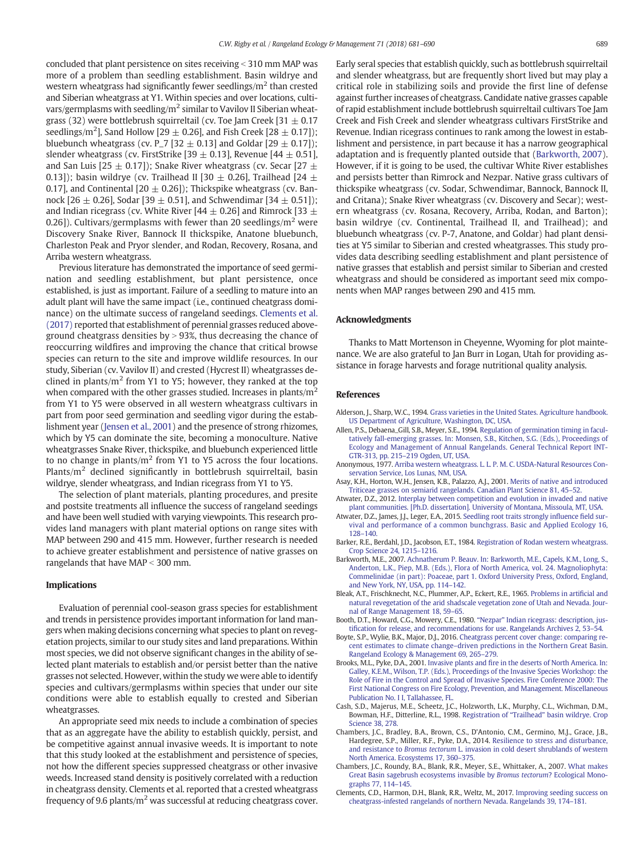<span id="page-8-0"></span>concluded that plant persistence on sites receiving < 310 mm MAP was more of a problem than seedling establishment. Basin wildrye and western wheatgrass had significantly fewer seedlings/ $m<sup>2</sup>$  than crested and Siberian wheatgrass at Y1. Within species and over locations, cultivars/germplasms with seedling/ $m^2$  similar to Vavilov II Siberian wheatgrass (32) were bottlebrush squirreltail (cv. Toe Jam Creek [31  $\pm$  0.17 seedlings/m<sup>2</sup>], Sand Hollow [29  $\pm$  0.26], and Fish Creek [28  $\pm$  0.17]); bluebunch wheatgrass (cv. P\_7 [32  $\pm$  0.13] and Goldar [29  $\pm$  0.17]); slender wheatgrass (cv. FirstStrike [39  $\pm$  0.13], Revenue [44  $\pm$  0.51], and San Luis [25  $\pm$  0.17]); Snake River wheatgrass (cv. Secar [27  $\pm$ 0.13]); basin wildrye (cv. Trailhead II [30  $\pm$  0.26], Trailhead [24  $\pm$ 0.17], and Continental  $[20 \pm 0.26]$ ; Thickspike wheatgrass (cv. Bannock [26  $\pm$  0.26], Sodar [39  $\pm$  0.51], and Schwendimar [34  $\pm$  0.51]); and Indian ricegrass (cv. White River [44  $\pm$  0.26] and Rimrock [33  $\pm$ 0.26]). Cultivars/germplasms with fewer than 20 seedlings/ $m^2$  were Discovery Snake River, Bannock II thickspike, Anatone bluebunch, Charleston Peak and Pryor slender, and Rodan, Recovery, Rosana, and Arriba western wheatgrass.

Previous literature has demonstrated the importance of seed germination and seedling establishment, but plant persistence, once established, is just as important. Failure of a seedling to mature into an adult plant will have the same impact (i.e., continued cheatgrass dominance) on the ultimate success of rangeland seedings. Clements et al. (2017) reported that establishment of perennial grasses reduced aboveground cheatgrass densities by  $> 93%$ , thus decreasing the chance of reoccurring wildfires and improving the chance that critical browse species can return to the site and improve wildlife resources. In our study, Siberian (cv. Vavilov II) and crested (Hycrest II) wheatgrasses declined in plants/ $m^2$  from Y1 to Y5; however, they ranked at the top when compared with the other grasses studied. Increases in plants/ $m<sup>2</sup>$ from Y1 to Y5 were observed in all western wheatgrass cultivars in part from poor seed germination and seedling vigor during the establishment year [\(Jensen et al., 2001\)](#page-9-0) and the presence of strong rhizomes, which by Y5 can dominate the site, becoming a monoculture. Native wheatgrasses Snake River, thickspike, and bluebunch experienced little to no change in plants/ $m^2$  from Y1 to Y5 across the four locations. Plants/ $m<sup>2</sup>$  declined significantly in bottlebrush squirreltail, basin wildrye, slender wheatgrass, and Indian ricegrass from Y1 to Y5.

The selection of plant materials, planting procedures, and presite and postsite treatments all influence the success of rangeland seedings and have been well studied with varying viewpoints. This research provides land managers with plant material options on range sites with MAP between 290 and 415 mm. However, further research is needed to achieve greater establishment and persistence of native grasses on rangelands that have  $MAP < 300$  mm.

#### Implications

Evaluation of perennial cool-season grass species for establishment and trends in persistence provides important information for land mangers when making decisions concerning what species to plant on revegetation projects, similar to our study sites and land preparations. Within most species, we did not observe significant changes in the ability of selected plant materials to establish and/or persist better than the native grasses not selected. However, within the study we were able to identify species and cultivars/germplasms within species that under our site conditions were able to establish equally to crested and Siberian wheatgrasses.

An appropriate seed mix needs to include a combination of species that as an aggregate have the ability to establish quickly, persist, and be competitive against annual invasive weeds. It is important to note that this study looked at the establishment and persistence of species, not how the different species suppressed cheatgrass or other invasive weeds. Increased stand density is positively correlated with a reduction in cheatgrass density. Clements et al. reported that a crested wheatgrass frequency of 9.6 plants/ $m<sup>2</sup>$  was successful at reducing cheatgrass cover.

Early seral species that establish quickly, such as bottlebrush squirreltail and slender wheatgrass, but are frequently short lived but may play a critical role in stabilizing soils and provide the first line of defense against further increases of cheatgrass. Candidate native grasses capable of rapid establishment include bottlebrush squirreltail cultivars Toe Jam Creek and Fish Creek and slender wheatgrass cultivars FirstStrike and Revenue. Indian ricegrass continues to rank among the lowest in establishment and persistence, in part because it has a narrow geographical adaptation and is frequently planted outside that (Barkworth, 2007). However, if it is going to be used, the cultivar White River establishes and persists better than Rimrock and Nezpar. Native grass cultivars of thickspike wheatgrass (cv. Sodar, Schwendimar, Bannock, Bannock II, and Critana); Snake River wheatgrass (cv. Discovery and Secar); western wheatgrass (cv. Rosana, Recovery, Arriba, Rodan, and Barton); basin wildrye (cv. Continental, Trailhead II, and Trailhead); and bluebunch wheatgrass (cv. P-7, Anatone, and Goldar) had plant densities at Y5 similar to Siberian and crested wheatgrasses. This study provides data describing seedling establishment and plant persistence of native grasses that establish and persist similar to Siberian and crested wheatgrass and should be considered as important seed mix components when MAP ranges between 290 and 415 mm.

# Acknowledgments

Thanks to Matt Mortenson in Cheyenne, Wyoming for plot maintenance. We are also grateful to Jan Burr in Logan, Utah for providing assistance in forage harvests and forage nutritional quality analysis.

# References

- Alderson, J., Sharp, W.C., 1994. [Grass varieties in the United States. Agriculture handbook.](http://refhub.elsevier.com/S1550-7424(18)30202-1/rf0005) [US Department of Agriculture, Washington, DC, USA](http://refhub.elsevier.com/S1550-7424(18)30202-1/rf0005).
- Allen, P.S., Debaena\_Gill, S.B., Meyer, S.E., 1994. [Regulation of germination timing in facul](http://refhub.elsevier.com/S1550-7424(18)30202-1/rf0010)[tatively fall-emerging grasses. In: Monsen, S.B., Kitchen, S.G. \(Eds.\), Proceedings of](http://refhub.elsevier.com/S1550-7424(18)30202-1/rf0010) [Ecology and Management of Annual Rangelands. General Technical Report INT-](http://refhub.elsevier.com/S1550-7424(18)30202-1/rf0010)GTR-313, pp. 215–[219 Ogden, UT, USA.](http://refhub.elsevier.com/S1550-7424(18)30202-1/rf0010)
- Anonymous, 1977. [Arriba western wheatgrass. L. L. P. M. C. USDA-Natural Resources Con](http://refhub.elsevier.com/S1550-7424(18)30202-1/rf0015)[servation Service, Los Lunas, NM, USA](http://refhub.elsevier.com/S1550-7424(18)30202-1/rf0015).
- Asay, K.H., Horton, W.H., Jensen, K.B., Palazzo, A.J., 2001. [Merits of native and introduced](http://refhub.elsevier.com/S1550-7424(18)30202-1/rf0020) [Triticeae grasses on semiarid rangelands. Canadian Plant Science 81, 45](http://refhub.elsevier.com/S1550-7424(18)30202-1/rf0020)–52.
- Atwater, D.Z., 2012. [Interplay between competition and evolution in invaded and native](http://refhub.elsevier.com/S1550-7424(18)30202-1/rf0025) [plant communities. \[Ph.D. dissertation\]. University of Montana, Missoula, MT, USA.](http://refhub.elsevier.com/S1550-7424(18)30202-1/rf0025)
- Atwater, D.Z., James, J.J., Leger, E.A., 2015. [Seedling root traits strongly in](http://refhub.elsevier.com/S1550-7424(18)30202-1/rf0030)fluence field sur[vival and performance of a common bunchgrass. Basic and Applied Ecology 16,](http://refhub.elsevier.com/S1550-7424(18)30202-1/rf0030) [128](http://refhub.elsevier.com/S1550-7424(18)30202-1/rf0030)–140.
- Barker, R.E., Berdahl, J.D., Jacobson, E.T., 1984. [Registration of Rodan western wheatgrass.](http://refhub.elsevier.com/S1550-7424(18)30202-1/rf0035) [Crop Science 24, 1215](http://refhub.elsevier.com/S1550-7424(18)30202-1/rf0035)–1216.
- Barkworth, M.E., 2007. [Achnatherum P. Beauv. In: Barkworth, M.E., Capels, K.M., Long, S.,](http://refhub.elsevier.com/S1550-7424(18)30202-1/rf0040) [Anderton, L.K., Piep, M.B. \(Eds.\), Flora of North America, vol. 24. Magnoliophyta:](http://refhub.elsevier.com/S1550-7424(18)30202-1/rf0040) [Commelinidae \(in part\): Poaceae, part 1. Oxford University Press, Oxford, England,](http://refhub.elsevier.com/S1550-7424(18)30202-1/rf0040) [and New York, NY, USA, pp. 114](http://refhub.elsevier.com/S1550-7424(18)30202-1/rf0040)–142.
- Bleak, A.T., Frischknecht, N.C., Plummer, A.P., Eckert, R.E., 1965. [Problems in arti](http://refhub.elsevier.com/S1550-7424(18)30202-1/rf0045)ficial and [natural revegetation of the arid shadscale vegetation zone of Utah and Nevada. Jour](http://refhub.elsevier.com/S1550-7424(18)30202-1/rf0045)[nal of Range Management 18, 59](http://refhub.elsevier.com/S1550-7424(18)30202-1/rf0045)–65.
- Booth, D.T., Howard, C.G., Mowery, C.E., 1980. "Nezpar" [Indian ricegrass: description, jus](http://refhub.elsevier.com/S1550-7424(18)30202-1/rf0050)tifi[cation for release, and recommendations for use. Rangelands Archives 2, 53](http://refhub.elsevier.com/S1550-7424(18)30202-1/rf0050)–54.
- Boyte, S.P., Wylie, B.K., Major, D.J., 2016. [Cheatgrass percent cover change: comparing re](http://refhub.elsevier.com/S1550-7424(18)30202-1/rf0055)cent estimates to climate change–[driven predictions in the Northern Great Basin.](http://refhub.elsevier.com/S1550-7424(18)30202-1/rf0055) [Rangeland Ecology & Management 69, 265](http://refhub.elsevier.com/S1550-7424(18)30202-1/rf0055)–279.
- Brooks, M.L., Pyke, D.A., 2001. Invasive plants and fi[re in the deserts of North America. In:](http://refhub.elsevier.com/S1550-7424(18)30202-1/rf0060) [Galley, K.E.M., Wilson, T.P. \(Eds.\), Proceedings of the Invasive Species Workshop: the](http://refhub.elsevier.com/S1550-7424(18)30202-1/rf0060) [Role of Fire in the Control and Spread of Invasive Species. Fire Conference 2000: The](http://refhub.elsevier.com/S1550-7424(18)30202-1/rf0060) [First National Congress on Fire Ecology, Prevention, and Management. Miscellaneous](http://refhub.elsevier.com/S1550-7424(18)30202-1/rf0060) [Publication No. I I, Tallahassee, FL](http://refhub.elsevier.com/S1550-7424(18)30202-1/rf0060).
- Cash, S.D., Majerus, M.E., Scheetz, J.C., Holzworth, L.K., Murphy, C.L., Wichman, D.M., Bowman, H.F., Ditterline, R.L., 1998. Registration of "Trailhead" [basin wildrye. Crop](http://refhub.elsevier.com/S1550-7424(18)30202-1/rf0065) [Science 38, 278](http://refhub.elsevier.com/S1550-7424(18)30202-1/rf0065).
- Chambers, J.C., Bradley, B.A., Brown, C.S., D'Antonio, C.M., Germino, M.J., Grace, J.B., Hardegree, S.P., Miller, R.F., Pyke, D.A., 2014. [Resilience to stress and disturbance,](http://refhub.elsevier.com/S1550-7424(18)30202-1/rf0070) and resistance to Bromus tectorum [L. invasion in cold desert shrublands of western](http://refhub.elsevier.com/S1550-7424(18)30202-1/rf0070) [North America. Ecosystems 17, 360](http://refhub.elsevier.com/S1550-7424(18)30202-1/rf0070)–375.
- Chambers, J.C., Roundy, B.A., Blank, R.R., Meyer, S.E., Whittaker, A., 2007. [What makes](http://refhub.elsevier.com/S1550-7424(18)30202-1/rf0075) [Great Basin sagebrush ecosystems invasible by](http://refhub.elsevier.com/S1550-7424(18)30202-1/rf0075) Bromus tectorum? Ecological Mono[graphs 77, 114](http://refhub.elsevier.com/S1550-7424(18)30202-1/rf0075)–145.
- Clements, C.D., Harmon, D.H., Blank, R.R., Weltz, M., 2017. [Improving seeding success on](http://refhub.elsevier.com/S1550-7424(18)30202-1/rf0080) [cheatgrass-infested rangelands of northern Nevada. Rangelands 39, 174](http://refhub.elsevier.com/S1550-7424(18)30202-1/rf0080)–181.